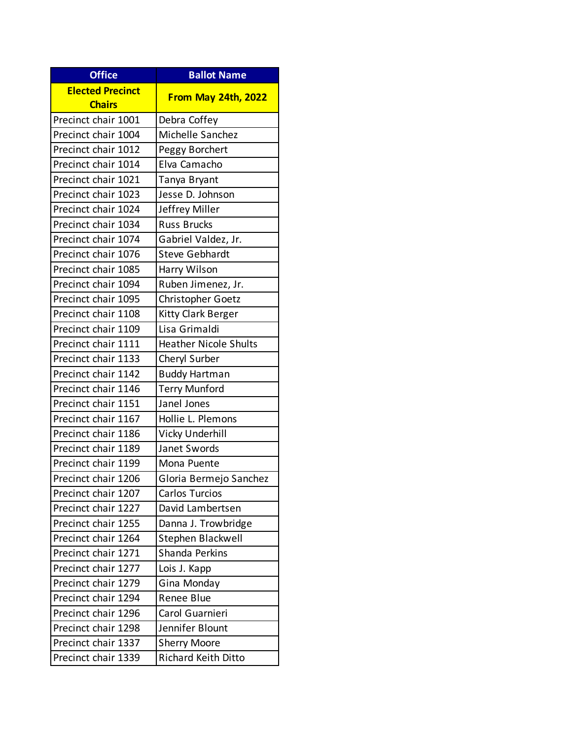| <b>Office</b>                            | <b>Ballot Name</b>           |
|------------------------------------------|------------------------------|
| <b>Elected Precinct</b><br><b>Chairs</b> | From May 24th, 2022          |
| Precinct chair 1001                      | Debra Coffey                 |
| Precinct chair 1004                      | Michelle Sanchez             |
| Precinct chair 1012                      | Peggy Borchert               |
| Precinct chair 1014                      | Elva Camacho                 |
| Precinct chair 1021                      | Tanya Bryant                 |
| Precinct chair 1023                      | Jesse D. Johnson             |
| Precinct chair 1024                      | Jeffrey Miller               |
| Precinct chair 1034                      | <b>Russ Brucks</b>           |
| Precinct chair 1074                      | Gabriel Valdez, Jr.          |
| Precinct chair 1076                      | <b>Steve Gebhardt</b>        |
| Precinct chair 1085                      | Harry Wilson                 |
| Precinct chair 1094                      | Ruben Jimenez, Jr.           |
| Precinct chair 1095                      | Christopher Goetz            |
| Precinct chair 1108                      | <b>Kitty Clark Berger</b>    |
| Precinct chair 1109                      | Lisa Grimaldi                |
| Precinct chair 1111                      | <b>Heather Nicole Shults</b> |
| Precinct chair 1133                      | Cheryl Surber                |
| Precinct chair 1142                      | <b>Buddy Hartman</b>         |
| Precinct chair 1146                      | <b>Terry Munford</b>         |
| Precinct chair 1151                      | Janel Jones                  |
| Precinct chair 1167                      | Hollie L. Plemons            |
| Precinct chair 1186                      | Vicky Underhill              |
| Precinct chair 1189                      | Janet Swords                 |
| Precinct chair 1199                      | Mona Puente                  |
| Precinct chair 1206                      | Gloria Bermejo Sanchez       |
| Precinct chair 1207                      | Carlos Turcios               |
| Precinct chair 1227                      | David Lambertsen             |
| Precinct chair 1255                      | Danna J. Trowbridge          |
| Precinct chair 1264                      | Stephen Blackwell            |
| Precinct chair 1271                      | Shanda Perkins               |
| Precinct chair 1277                      | Lois J. Kapp                 |
| Precinct chair 1279                      | Gina Monday                  |
| Precinct chair 1294                      | Renee Blue                   |
| Precinct chair 1296                      | Carol Guarnieri              |
| Precinct chair 1298                      | Jennifer Blount              |
| Precinct chair 1337                      | <b>Sherry Moore</b>          |
| Precinct chair 1339                      | <b>Richard Keith Ditto</b>   |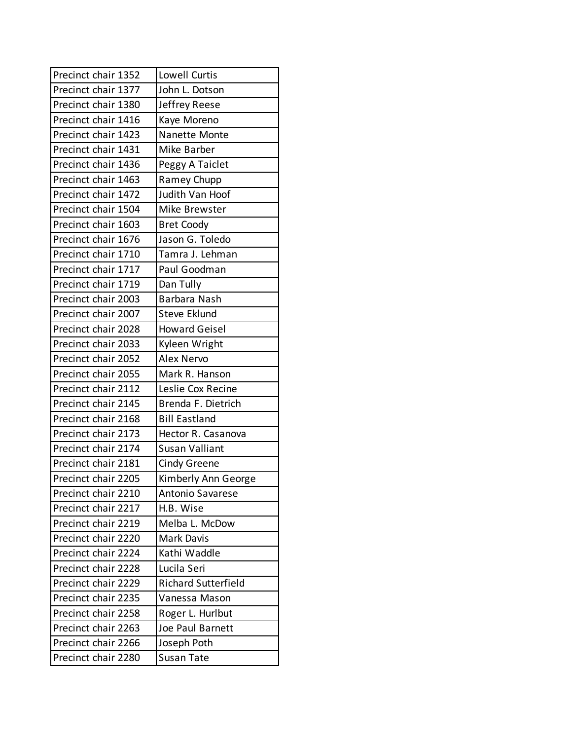| Precinct chair 1352 | Lowell Curtis              |
|---------------------|----------------------------|
| Precinct chair 1377 | John L. Dotson             |
| Precinct chair 1380 | Jeffrey Reese              |
| Precinct chair 1416 | Kaye Moreno                |
| Precinct chair 1423 | Nanette Monte              |
| Precinct chair 1431 | Mike Barber                |
| Precinct chair 1436 | Peggy A Taiclet            |
| Precinct chair 1463 | Ramey Chupp                |
| Precinct chair 1472 | Judith Van Hoof            |
| Precinct chair 1504 | Mike Brewster              |
| Precinct chair 1603 | <b>Bret Coody</b>          |
| Precinct chair 1676 | Jason G. Toledo            |
| Precinct chair 1710 | Tamra J. Lehman            |
| Precinct chair 1717 | Paul Goodman               |
| Precinct chair 1719 | Dan Tully                  |
| Precinct chair 2003 | Barbara Nash               |
| Precinct chair 2007 | <b>Steve Eklund</b>        |
| Precinct chair 2028 | <b>Howard Geisel</b>       |
| Precinct chair 2033 | Kyleen Wright              |
| Precinct chair 2052 | Alex Nervo                 |
| Precinct chair 2055 | Mark R. Hanson             |
| Precinct chair 2112 | Leslie Cox Recine          |
| Precinct chair 2145 | Brenda F. Dietrich         |
| Precinct chair 2168 | <b>Bill Eastland</b>       |
| Precinct chair 2173 | Hector R. Casanova         |
| Precinct chair 2174 | <b>Susan Valliant</b>      |
| Precinct chair 2181 | Cindy Greene               |
| Precinct chair 2205 | Kimberly Ann George        |
| Precinct chair 2210 | Antonio Savarese           |
| Precinct chair 2217 | H.B. Wise                  |
| Precinct chair 2219 | Melba L. McDow             |
| Precinct chair 2220 | <b>Mark Davis</b>          |
| Precinct chair 2224 | Kathi Waddle               |
| Precinct chair 2228 | Lucila Seri                |
| Precinct chair 2229 | <b>Richard Sutterfield</b> |
| Precinct chair 2235 | Vanessa Mason              |
| Precinct chair 2258 | Roger L. Hurlbut           |
| Precinct chair 2263 | Joe Paul Barnett           |
| Precinct chair 2266 | Joseph Poth                |
| Precinct chair 2280 | Susan Tate                 |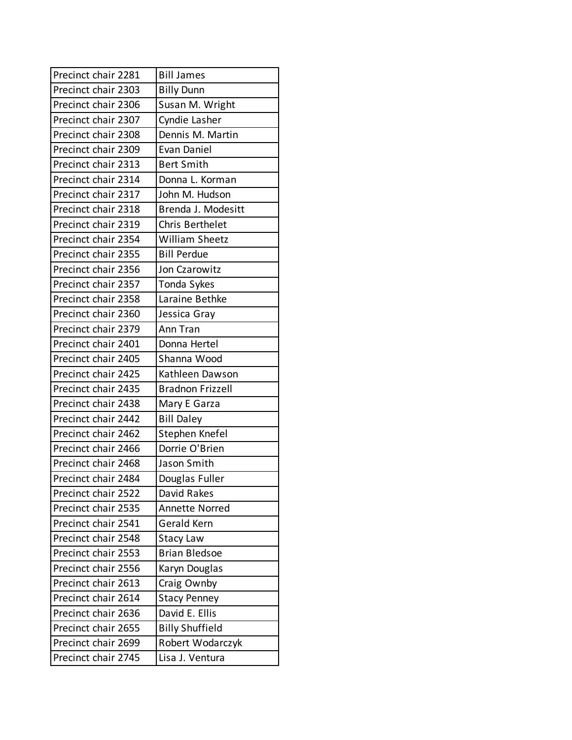| Precinct chair 2281 | <b>Bill James</b>       |
|---------------------|-------------------------|
| Precinct chair 2303 | <b>Billy Dunn</b>       |
| Precinct chair 2306 | Susan M. Wright         |
| Precinct chair 2307 | Cyndie Lasher           |
| Precinct chair 2308 | Dennis M. Martin        |
| Precinct chair 2309 | Evan Daniel             |
| Precinct chair 2313 | <b>Bert Smith</b>       |
| Precinct chair 2314 | Donna L. Korman         |
| Precinct chair 2317 | John M. Hudson          |
| Precinct chair 2318 | Brenda J. Modesitt      |
| Precinct chair 2319 | Chris Berthelet         |
| Precinct chair 2354 | <b>William Sheetz</b>   |
| Precinct chair 2355 | <b>Bill Perdue</b>      |
| Precinct chair 2356 | Jon Czarowitz           |
| Precinct chair 2357 | Tonda Sykes             |
| Precinct chair 2358 | Laraine Bethke          |
| Precinct chair 2360 | Jessica Gray            |
| Precinct chair 2379 | Ann Tran                |
| Precinct chair 2401 | Donna Hertel            |
| Precinct chair 2405 | Shanna Wood             |
| Precinct chair 2425 | Kathleen Dawson         |
| Precinct chair 2435 | <b>Bradnon Frizzell</b> |
| Precinct chair 2438 | Mary E Garza            |
| Precinct chair 2442 | <b>Bill Daley</b>       |
| Precinct chair 2462 | Stephen Knefel          |
| Precinct chair 2466 | Dorrie O'Brien          |
| Precinct chair 2468 | Jason Smith             |
| Precinct chair 2484 | Douglas Fuller          |
| Precinct chair 2522 | David Rakes             |
| Precinct chair 2535 | <b>Annette Norred</b>   |
| Precinct chair 2541 | <b>Gerald Kern</b>      |
| Precinct chair 2548 | <b>Stacy Law</b>        |
| Precinct chair 2553 | <b>Brian Bledsoe</b>    |
| Precinct chair 2556 | Karyn Douglas           |
| Precinct chair 2613 | Craig Ownby             |
| Precinct chair 2614 | <b>Stacy Penney</b>     |
| Precinct chair 2636 | David E. Ellis          |
| Precinct chair 2655 | <b>Billy Shuffield</b>  |
| Precinct chair 2699 | Robert Wodarczyk        |
| Precinct chair 2745 | Lisa J. Ventura         |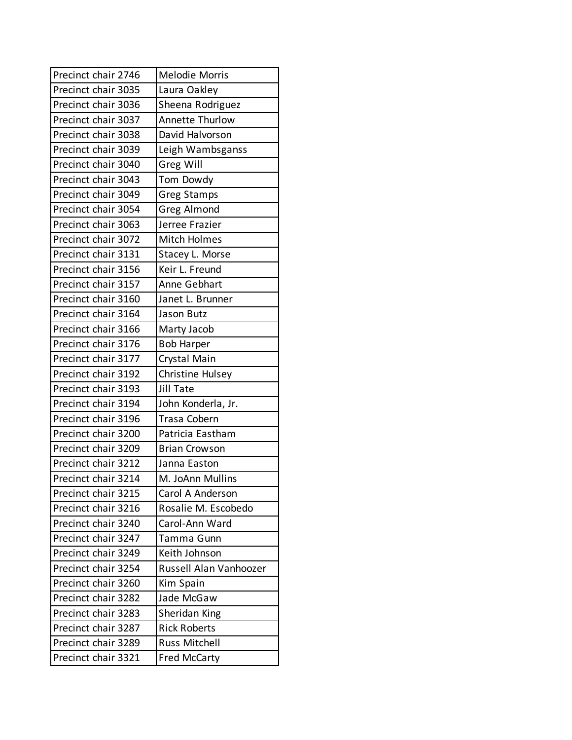| Precinct chair 2746 | <b>Melodie Morris</b>  |
|---------------------|------------------------|
| Precinct chair 3035 | Laura Oakley           |
| Precinct chair 3036 | Sheena Rodriguez       |
| Precinct chair 3037 | <b>Annette Thurlow</b> |
| Precinct chair 3038 | David Halvorson        |
| Precinct chair 3039 | Leigh Wambsganss       |
| Precinct chair 3040 | Greg Will              |
| Precinct chair 3043 | Tom Dowdy              |
| Precinct chair 3049 | <b>Greg Stamps</b>     |
| Precinct chair 3054 | Greg Almond            |
| Precinct chair 3063 | Jerree Frazier         |
| Precinct chair 3072 | Mitch Holmes           |
| Precinct chair 3131 | Stacey L. Morse        |
| Precinct chair 3156 | Keir L. Freund         |
| Precinct chair 3157 | Anne Gebhart           |
| Precinct chair 3160 | Janet L. Brunner       |
| Precinct chair 3164 | Jason Butz             |
| Precinct chair 3166 | Marty Jacob            |
| Precinct chair 3176 | <b>Bob Harper</b>      |
| Precinct chair 3177 | Crystal Main           |
| Precinct chair 3192 | Christine Hulsey       |
| Precinct chair 3193 | Jill Tate              |
| Precinct chair 3194 | John Konderla, Jr.     |
| Precinct chair 3196 | <b>Trasa Cobern</b>    |
| Precinct chair 3200 | Patricia Eastham       |
| Precinct chair 3209 | <b>Brian Crowson</b>   |
| Precinct chair 3212 | Janna Easton           |
| Precinct chair 3214 | M. JoAnn Mullins       |
| Precinct chair 3215 | Carol A Anderson       |
| Precinct chair 3216 | Rosalie M. Escobedo    |
| Precinct chair 3240 | Carol-Ann Ward         |
| Precinct chair 3247 | Tamma Gunn             |
| Precinct chair 3249 | Keith Johnson          |
| Precinct chair 3254 | Russell Alan Vanhoozer |
| Precinct chair 3260 | Kim Spain              |
| Precinct chair 3282 | Jade McGaw             |
| Precinct chair 3283 | Sheridan King          |
| Precinct chair 3287 | <b>Rick Roberts</b>    |
| Precinct chair 3289 | <b>Russ Mitchell</b>   |
| Precinct chair 3321 | <b>Fred McCarty</b>    |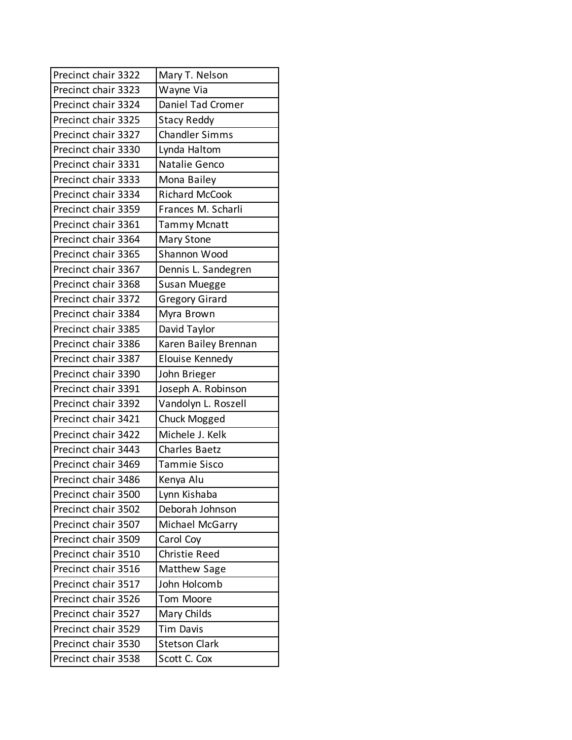| Precinct chair 3322 | Mary T. Nelson        |
|---------------------|-----------------------|
| Precinct chair 3323 | Wayne Via             |
| Precinct chair 3324 | Daniel Tad Cromer     |
| Precinct chair 3325 | <b>Stacy Reddy</b>    |
| Precinct chair 3327 | <b>Chandler Simms</b> |
| Precinct chair 3330 | Lynda Haltom          |
| Precinct chair 3331 | Natalie Genco         |
| Precinct chair 3333 | Mona Bailey           |
| Precinct chair 3334 | <b>Richard McCook</b> |
| Precinct chair 3359 | Frances M. Scharli    |
| Precinct chair 3361 | <b>Tammy Mcnatt</b>   |
| Precinct chair 3364 | Mary Stone            |
| Precinct chair 3365 | Shannon Wood          |
| Precinct chair 3367 | Dennis L. Sandegren   |
| Precinct chair 3368 | Susan Muegge          |
| Precinct chair 3372 | <b>Gregory Girard</b> |
| Precinct chair 3384 | Myra Brown            |
| Precinct chair 3385 | David Taylor          |
| Precinct chair 3386 | Karen Bailey Brennan  |
| Precinct chair 3387 | Elouise Kennedy       |
| Precinct chair 3390 | John Brieger          |
| Precinct chair 3391 | Joseph A. Robinson    |
| Precinct chair 3392 | Vandolyn L. Roszell   |
| Precinct chair 3421 | Chuck Mogged          |
| Precinct chair 3422 | Michele J. Kelk       |
| Precinct chair 3443 | Charles Baetz         |
| Precinct chair 3469 | <b>Tammie Sisco</b>   |
| Precinct chair 3486 | Kenya Alu             |
| Precinct chair 3500 | Lynn Kishaba          |
| Precinct chair 3502 | Deborah Johnson       |
| Precinct chair 3507 | Michael McGarry       |
| Precinct chair 3509 | Carol Coy             |
| Precinct chair 3510 | <b>Christie Reed</b>  |
| Precinct chair 3516 | Matthew Sage          |
| Precinct chair 3517 | John Holcomb          |
| Precinct chair 3526 | Tom Moore             |
| Precinct chair 3527 | Mary Childs           |
| Precinct chair 3529 | <b>Tim Davis</b>      |
| Precinct chair 3530 | <b>Stetson Clark</b>  |
|                     |                       |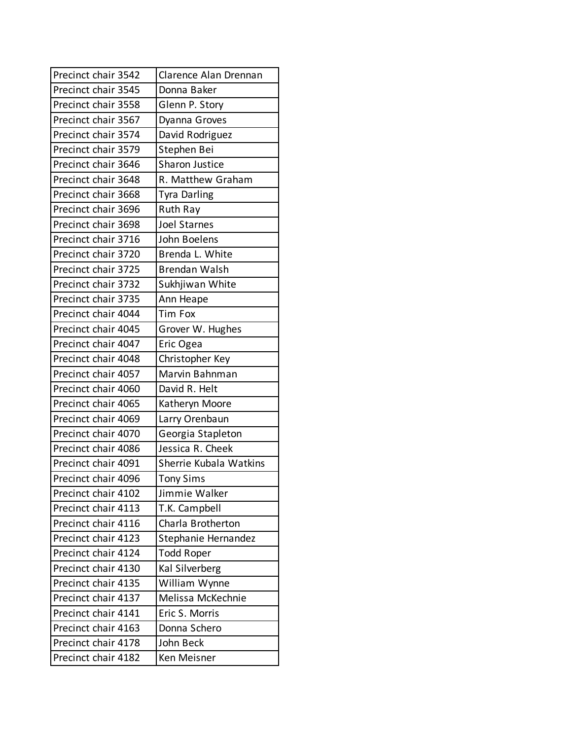| Precinct chair 3542 | Clarence Alan Drennan  |
|---------------------|------------------------|
| Precinct chair 3545 | Donna Baker            |
| Precinct chair 3558 | Glenn P. Story         |
| Precinct chair 3567 | Dyanna Groves          |
| Precinct chair 3574 | David Rodriguez        |
| Precinct chair 3579 | Stephen Bei            |
| Precinct chair 3646 | <b>Sharon Justice</b>  |
| Precinct chair 3648 | R. Matthew Graham      |
| Precinct chair 3668 | <b>Tyra Darling</b>    |
| Precinct chair 3696 | Ruth Ray               |
| Precinct chair 3698 | <b>Joel Starnes</b>    |
| Precinct chair 3716 | John Boelens           |
| Precinct chair 3720 | Brenda L. White        |
| Precinct chair 3725 | <b>Brendan Walsh</b>   |
| Precinct chair 3732 | Sukhjiwan White        |
| Precinct chair 3735 | Ann Heape              |
| Precinct chair 4044 | <b>Tim Fox</b>         |
| Precinct chair 4045 | Grover W. Hughes       |
| Precinct chair 4047 | Eric Ogea              |
| Precinct chair 4048 | Christopher Key        |
| Precinct chair 4057 | Marvin Bahnman         |
| Precinct chair 4060 | David R. Helt          |
| Precinct chair 4065 | Katheryn Moore         |
| Precinct chair 4069 | Larry Orenbaun         |
| Precinct chair 4070 | Georgia Stapleton      |
| Precinct chair 4086 | Jessica R. Cheek       |
| Precinct chair 4091 | Sherrie Kubala Watkins |
| Precinct chair 4096 | <b>Tony Sims</b>       |
| Precinct chair 4102 | Jimmie Walker          |
| Precinct chair 4113 | T.K. Campbell          |
| Precinct chair 4116 | Charla Brotherton      |
| Precinct chair 4123 | Stephanie Hernandez    |
| Precinct chair 4124 | <b>Todd Roper</b>      |
| Precinct chair 4130 | Kal Silverberg         |
| Precinct chair 4135 | William Wynne          |
| Precinct chair 4137 | Melissa McKechnie      |
| Precinct chair 4141 | Eric S. Morris         |
| Precinct chair 4163 | Donna Schero           |
| Precinct chair 4178 | John Beck              |
| Precinct chair 4182 | Ken Meisner            |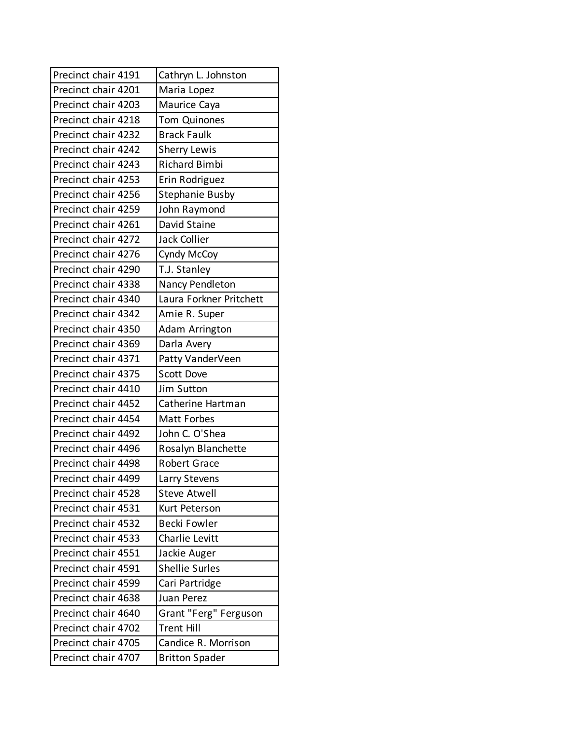| Precinct chair 4191 | Cathryn L. Johnston     |
|---------------------|-------------------------|
| Precinct chair 4201 | Maria Lopez             |
| Precinct chair 4203 | Maurice Caya            |
| Precinct chair 4218 | <b>Tom Quinones</b>     |
| Precinct chair 4232 | <b>Brack Faulk</b>      |
| Precinct chair 4242 | <b>Sherry Lewis</b>     |
| Precinct chair 4243 | <b>Richard Bimbi</b>    |
| Precinct chair 4253 | Erin Rodriguez          |
| Precinct chair 4256 | <b>Stephanie Busby</b>  |
| Precinct chair 4259 | John Raymond            |
| Precinct chair 4261 | David Staine            |
| Precinct chair 4272 | <b>Jack Collier</b>     |
| Precinct chair 4276 | Cyndy McCoy             |
| Precinct chair 4290 | T.J. Stanley            |
| Precinct chair 4338 | Nancy Pendleton         |
| Precinct chair 4340 | Laura Forkner Pritchett |
| Precinct chair 4342 | Amie R. Super           |
| Precinct chair 4350 | Adam Arrington          |
| Precinct chair 4369 | Darla Avery             |
| Precinct chair 4371 | Patty VanderVeen        |
| Precinct chair 4375 | <b>Scott Dove</b>       |
| Precinct chair 4410 | Jim Sutton              |
| Precinct chair 4452 | Catherine Hartman       |
| Precinct chair 4454 | Matt Forbes             |
| Precinct chair 4492 | John C. O'Shea          |
| Precinct chair 4496 | Rosalyn Blanchette      |
| Precinct chair 4498 | <b>Robert Grace</b>     |
| Precinct chair 4499 | Larry Stevens           |
| Precinct chair 4528 | <b>Steve Atwell</b>     |
| Precinct chair 4531 | Kurt Peterson           |
| Precinct chair 4532 | Becki Fowler            |
| Precinct chair 4533 | Charlie Levitt          |
| Precinct chair 4551 | Jackie Auger            |
| Precinct chair 4591 | <b>Shellie Surles</b>   |
| Precinct chair 4599 | Cari Partridge          |
| Precinct chair 4638 | Juan Perez              |
| Precinct chair 4640 | Grant "Ferg" Ferguson   |
| Precinct chair 4702 | <b>Trent Hill</b>       |
| Precinct chair 4705 | Candice R. Morrison     |
| Precinct chair 4707 | <b>Britton Spader</b>   |